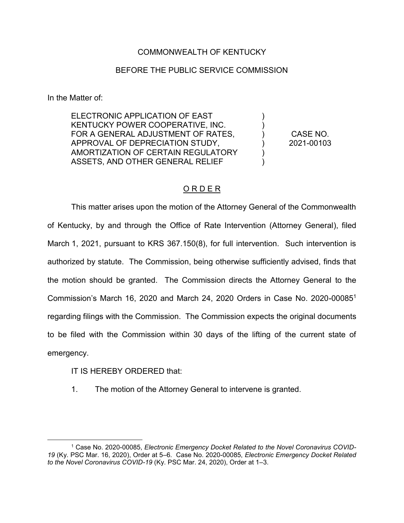## COMMONWEALTH OF KENTUCKY

## BEFORE THE PUBLIC SERVICE COMMISSION

In the Matter of:

ELECTRONIC APPLICATION OF EAST KENTUCKY POWER COOPERATIVE, INC. FOR A GENERAL ADJUSTMENT OF RATES, APPROVAL OF DEPRECIATION STUDY, AMORTIZATION OF CERTAIN REGULATORY ASSETS, AND OTHER GENERAL RELIEF

CASE NO. 2021-00103

) ) ) ) ) )

## O R D E R

This matter arises upon the motion of the Attorney General of the Commonwealth of Kentucky, by and through the Office of Rate Intervention (Attorney General), filed March 1, 2021, pursuant to KRS 367.150(8), for full intervention. Such intervention is authorized by statute. The Commission, being otherwise sufficiently advised, finds that the motion should be granted. The Commission directs the Attorney General to the Commission's March 16, 2020 and March 24, 2020 Orders in Case No. 2020-000851 regarding filings with the Commission. The Commission expects the original documents to be filed with the Commission within 30 days of the lifting of the current state of emergency.

IT IS HEREBY ORDERED that:

1. The motion of the Attorney General to intervene is granted.

 <sup>1</sup> Case No. 2020-00085, *Electronic Emergency Docket Related to the Novel Coronavirus COVID-19* (Ky. PSC Mar. 16, 2020), Order at 5–6. Case No. 2020-00085, *Electronic Emergency Docket Related to the Novel Coronavirus COVID-19* (Ky. PSC Mar. 24, 2020), Order at 1–3.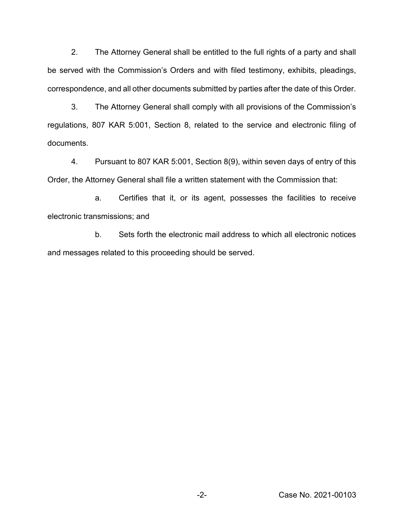2. The Attorney General shall be entitled to the full rights of a party and shall be served with the Commission's Orders and with filed testimony, exhibits, pleadings, correspondence, and all other documents submitted by parties after the date of this Order.

3. The Attorney General shall comply with all provisions of the Commission's regulations, 807 KAR 5:001, Section 8, related to the service and electronic filing of documents.

4. Pursuant to 807 KAR 5:001, Section 8(9), within seven days of entry of this Order, the Attorney General shall file a written statement with the Commission that:

a. Certifies that it, or its agent, possesses the facilities to receive electronic transmissions; and

b. Sets forth the electronic mail address to which all electronic notices and messages related to this proceeding should be served.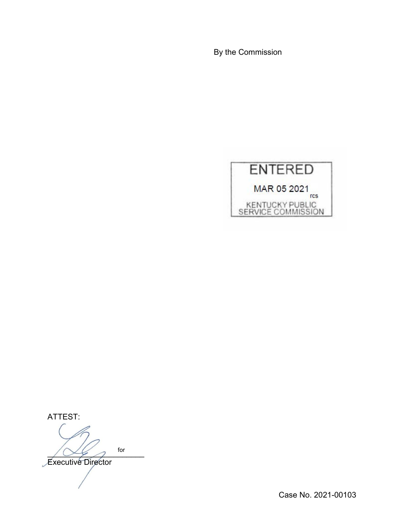By the Commission



ATTEST:

 $\sim$   $\sim$   $\sim$   $\sim$   $\sim$ Executive Director for

Case No. 2021-00103